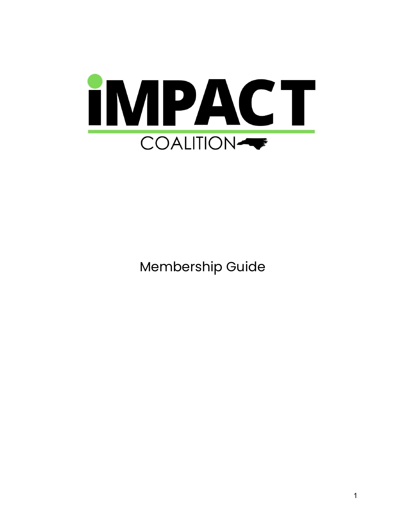

Membership Guide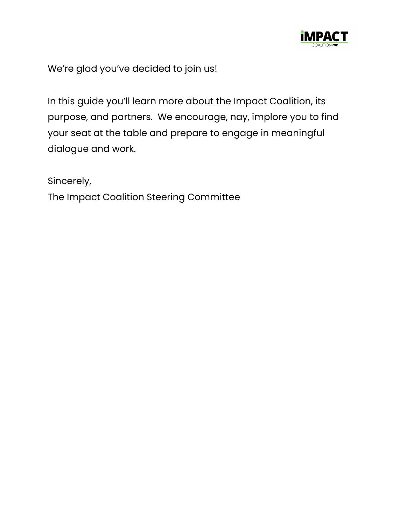

We're glad you've decided to join us!

In this guide you'll learn more about the Impact Coalition, its purpose, and partners. We encourage, nay, implore you to find your seat at the table and prepare to engage in meaningful dialogue and work.

Sincerely,

The Impact Coalition Steering Committee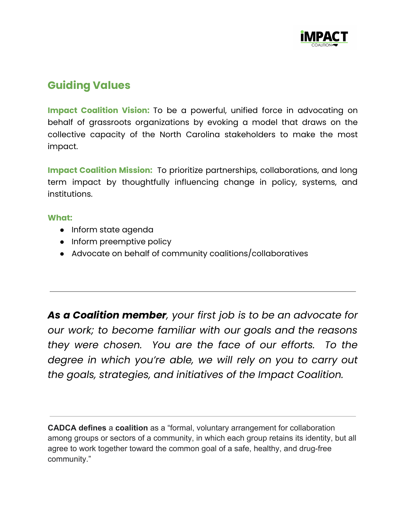

# **Guiding Values**

**Impact Coalition Vision:** To be a powerful, unified force in advocating on behalf of grassroots organizations by evoking a model that draws on the collective capacity of the North Carolina stakeholders to make the most impact.

**Impact Coalition Mission:** To prioritize partnerships, collaborations, and long term impact by thoughtfully influencing change in policy, systems, and institutions.

#### **What:**

- Inform state agenda
- Inform preemptive policy
- Advocate on behalf of community coalitions/collaboratives

*As a Coalition member, your first job is to be an advocate for our work; to become familiar with our goals and the reasons they were chosen. You are the face of our efforts. To the degree in which you're able, we will rely on you to carry out the goals, strategies, and initiatives of the Impact Coalition.*

**CADCA defines** a **coalition** as a "formal, voluntary arrangement for collaboration among groups or sectors of a community, in which each group retains its identity, but all agree to work together toward the common goal of a safe, healthy, and drug-free community."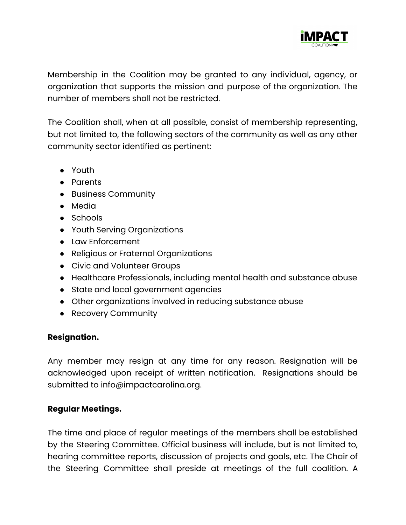

Membership in the Coalition may be granted to any individual, agency, or organization that supports the mission and purpose of the organization. The number of members shall not be restricted.

The Coalition shall, when at all possible, consist of membership representing, but not limited to, the following sectors of the community as well as any other community sector identified as pertinent:

- Youth
- Parents
- Business Community
- Media
- Schools
- Youth Serving Organizations
- Law Enforcement
- Religious or Fraternal Organizations
- Civic and Volunteer Groups
- Healthcare Professionals, including mental health and substance abuse
- State and local government agencies
- Other organizations involved in reducing substance abuse
- Recovery Community

## **Resignation.**

Any member may resign at any time for any reason. Resignation will be acknowledged upon receipt of written notification. Resignations should be submitted to info@impactcarolina.org.

## **Regular Meetings.**

The time and place of regular meetings of the members shall be established by the Steering Committee. Official business will include, but is not limited to, hearing committee reports, discussion of projects and goals, etc. The Chair of the Steering Committee shall preside at meetings of the full coalition. A